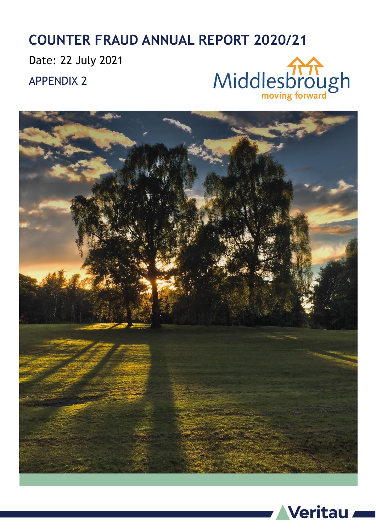### **COUNTER FRAUD ANNUAL REPORT 2020/21**

Date: 22 July 2021

APPENDIX 2





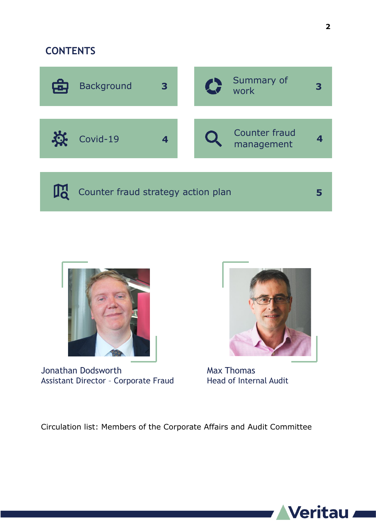#### **CONTENTS**





Jonathan Dodsworth Assistant Director – Corporate Fraud



Max Thomas Head of Internal Audit

Circulation list: Members of the Corporate Affairs and Audit Committee

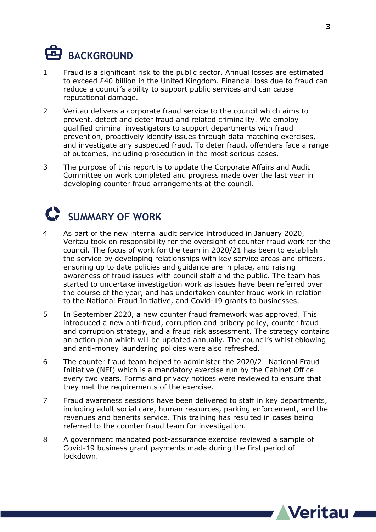

- 1 Fraud is a significant risk to the public sector. Annual losses are estimated to exceed £40 billion in the United Kingdom. Financial loss due to fraud can reduce a council's ability to support public services and can cause reputational damage.
- 2 Veritau delivers a corporate fraud service to the council which aims to prevent, detect and deter fraud and related criminality. We employ qualified criminal investigators to support departments with fraud prevention, proactively identify issues through data matching exercises, and investigate any suspected fraud. To deter fraud, offenders face a range of outcomes, including prosecution in the most serious cases.
- 3 The purpose of this report is to update the Corporate Affairs and Audit Committee on work completed and progress made over the last year in developing counter fraud arrangements at the council.

#### **C** SUMMARY OF WORK

- 4 As part of the new internal audit service introduced in January 2020, Veritau took on responsibility for the oversight of counter fraud work for the council. The focus of work for the team in 2020/21 has been to establish the service by developing relationships with key service areas and officers, ensuring up to date policies and guidance are in place, and raising awareness of fraud issues with council staff and the public. The team has started to undertake investigation work as issues have been referred over the course of the year, and has undertaken counter fraud work in relation to the National Fraud Initiative, and Covid-19 grants to businesses.
- 5 In September 2020, a new counter fraud framework was approved. This introduced a new anti-fraud, corruption and bribery policy, counter fraud and corruption strategy, and a fraud risk assessment. The strategy contains an action plan which will be updated annually. The council's whistleblowing and anti-money laundering policies were also refreshed.
- 6 The counter fraud team helped to administer the 2020/21 National Fraud Initiative (NFI) which is a mandatory exercise run by the Cabinet Office every two years. Forms and privacy notices were reviewed to ensure that they met the requirements of the exercise.
- 7 Fraud awareness sessions have been delivered to staff in key departments, including adult social care, human resources, parking enforcement, and the revenues and benefits service. This training has resulted in cases being referred to the counter fraud team for investigation.
- 8 A government mandated post-assurance exercise reviewed a sample of Covid-19 business grant payments made during the first period of lockdown.

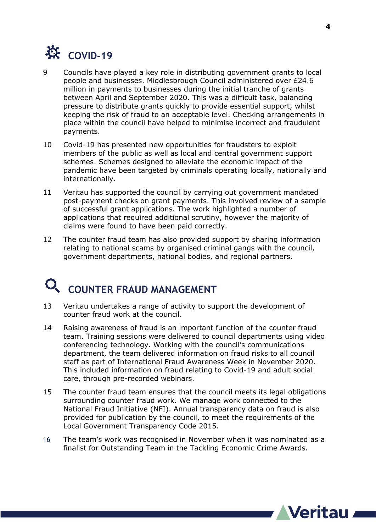

- 9 Councils have played a key role in distributing government grants to local people and businesses. Middlesbrough Council administered over £24.6 million in payments to businesses during the initial tranche of grants between April and September 2020. This was a difficult task, balancing pressure to distribute grants quickly to provide essential support, whilst keeping the risk of fraud to an acceptable level. Checking arrangements in place within the council have helped to minimise incorrect and fraudulent payments.
- 10 Covid-19 has presented new opportunities for fraudsters to exploit members of the public as well as local and central government support schemes. Schemes designed to alleviate the economic impact of the pandemic have been targeted by criminals operating locally, nationally and internationally.
- 11 Veritau has supported the council by carrying out government mandated post-payment checks on grant payments. This involved review of a sample of successful grant applications. The work highlighted a number of applications that required additional scrutiny, however the majority of claims were found to have been paid correctly.
- 12 The counter fraud team has also provided support by sharing information relating to national scams by organised criminal gangs with the council, government departments, national bodies, and regional partners.

## **COUNTER FRAUD MANAGEMENT**

- 13 Veritau undertakes a range of activity to support the development of counter fraud work at the council.
- 14 Raising awareness of fraud is an important function of the counter fraud team. Training sessions were delivered to council departments using video conferencing technology. Working with the council's communications department, the team delivered information on fraud risks to all council staff as part of International Fraud Awareness Week in November 2020. This included information on fraud relating to Covid-19 and adult social care, through pre-recorded webinars.
- 15 The counter fraud team ensures that the council meets its legal obligations surrounding counter fraud work. We manage work connected to the National Fraud Initiative (NFI). Annual transparency data on fraud is also provided for publication by the council, to meet the requirements of the Local Government Transparency Code 2015.
- 16 The team's work was recognised in November when it was nominated as a finalist for Outstanding Team in the Tackling Economic Crime Awards.

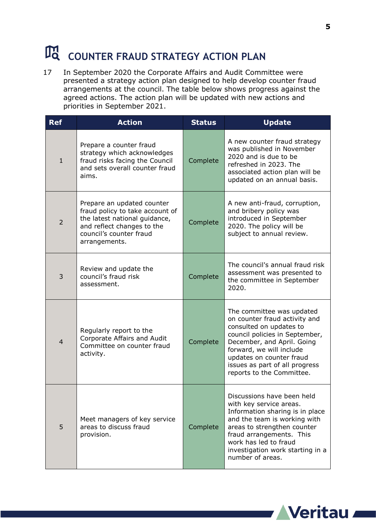# **COUNTER FRAUD STRATEGY ACTION PLAN**

17 In September 2020 the Corporate Affairs and Audit Committee were presented a strategy action plan designed to help develop counter fraud arrangements at the council. The table below shows progress against the agreed actions. The action plan will be updated with new actions and priorities in September 2021.

| <b>Ref</b>     | <b>Action</b>                                                                                                                                                            | <b>Status</b> | <b>Update</b>                                                                                                                                                                                                                                                                |
|----------------|--------------------------------------------------------------------------------------------------------------------------------------------------------------------------|---------------|------------------------------------------------------------------------------------------------------------------------------------------------------------------------------------------------------------------------------------------------------------------------------|
| $\mathbf{1}$   | Prepare a counter fraud<br>strategy which acknowledges<br>fraud risks facing the Council<br>and sets overall counter fraud<br>aims.                                      | Complete      | A new counter fraud strategy<br>was published in November<br>2020 and is due to be<br>refreshed in 2023. The<br>associated action plan will be<br>updated on an annual basis.                                                                                                |
| $\overline{2}$ | Prepare an updated counter<br>fraud policy to take account of<br>the latest national guidance,<br>and reflect changes to the<br>council's counter fraud<br>arrangements. | Complete      | A new anti-fraud, corruption,<br>and bribery policy was<br>introduced in September<br>2020. The policy will be<br>subject to annual review.                                                                                                                                  |
| 3              | Review and update the<br>council's fraud risk<br>assessment.                                                                                                             | Complete      | The council's annual fraud risk<br>assessment was presented to<br>the committee in September<br>2020.                                                                                                                                                                        |
| $\overline{4}$ | Regularly report to the<br>Corporate Affairs and Audit<br>Committee on counter fraud<br>activity.                                                                        | Complete      | The committee was updated<br>on counter fraud activity and<br>consulted on updates to<br>council policies in September,<br>December, and April. Going<br>forward, we will include<br>updates on counter fraud<br>issues as part of all progress<br>reports to the Committee. |
| 5              | Meet managers of key service<br>areas to discuss fraud<br>provision.                                                                                                     | Complete      | Discussions have been held<br>with key service areas.<br>Information sharing is in place<br>and the team is working with<br>areas to strengthen counter<br>fraud arrangements. This<br>work has led to fraud<br>investigation work starting in a<br>number of areas.         |